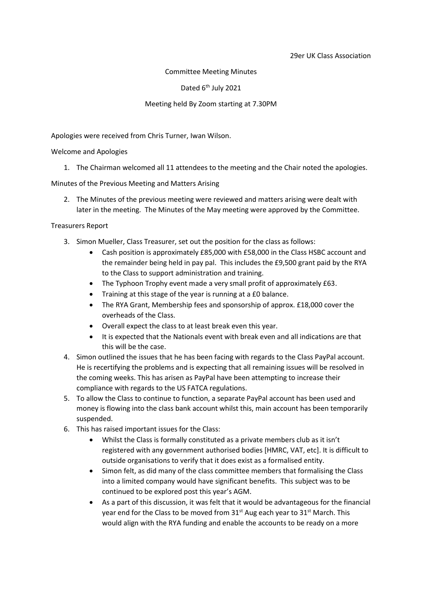### Committee Meeting Minutes

Dated 6<sup>th</sup> July 2021

### Meeting held By Zoom starting at 7.30PM

Apologies were received from Chris Turner, Iwan Wilson.

#### Welcome and Apologies

1. The Chairman welcomed all 11 attendees to the meeting and the Chair noted the apologies.

Minutes of the Previous Meeting and Matters Arising

2. The Minutes of the previous meeting were reviewed and matters arising were dealt with later in the meeting. The Minutes of the May meeting were approved by the Committee.

### Treasurers Report

- 3. Simon Mueller, Class Treasurer, set out the position for the class as follows:
	- Cash position is approximately £85,000 with £58,000 in the Class HSBC account and the remainder being held in pay pal. This includes the £9,500 grant paid by the RYA to the Class to support administration and training.
	- The Typhoon Trophy event made a very small profit of approximately £63.
	- Training at this stage of the year is running at a £0 balance.
	- The RYA Grant, Membership fees and sponsorship of approx. £18,000 cover the overheads of the Class.
	- Overall expect the class to at least break even this year.
	- It is expected that the Nationals event with break even and all indications are that this will be the case.
- 4. Simon outlined the issues that he has been facing with regards to the Class PayPal account. He is recertifying the problems and is expecting that all remaining issues will be resolved in the coming weeks. This has arisen as PayPal have been attempting to increase their compliance with regards to the US FATCA regulations.
- 5. To allow the Class to continue to function, a separate PayPal account has been used and money is flowing into the class bank account whilst this, main account has been temporarily suspended.
- 6. This has raised important issues for the Class:
	- Whilst the Class is formally constituted as a private members club as it isn't registered with any government authorised bodies [HMRC, VAT, etc]. It is difficult to outside organisations to verify that it does exist as a formalised entity.
	- Simon felt, as did many of the class committee members that formalising the Class into a limited company would have significant benefits. This subject was to be continued to be explored post this year's AGM.
	- As a part of this discussion, it was felt that it would be advantageous for the financial year end for the Class to be moved from 31<sup>st</sup> Aug each year to 31<sup>st</sup> March. This would align with the RYA funding and enable the accounts to be ready on a more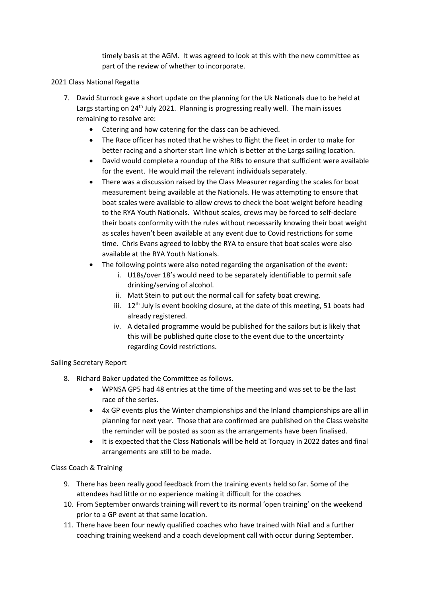timely basis at the AGM. It was agreed to look at this with the new committee as part of the review of whether to incorporate.

## 2021 Class National Regatta

- 7. David Sturrock gave a short update on the planning for the Uk Nationals due to be held at Largs starting on 24<sup>th</sup> July 2021. Planning is progressing really well. The main issues remaining to resolve are:
	- Catering and how catering for the class can be achieved.
	- The Race officer has noted that he wishes to flight the fleet in order to make for better racing and a shorter start line which is better at the Largs sailing location.
	- David would complete a roundup of the RIBs to ensure that sufficient were available for the event. He would mail the relevant individuals separately.
	- There was a discussion raised by the Class Measurer regarding the scales for boat measurement being available at the Nationals. He was attempting to ensure that boat scales were available to allow crews to check the boat weight before heading to the RYA Youth Nationals. Without scales, crews may be forced to self-declare their boats conformity with the rules without necessarily knowing their boat weight as scales haven't been available at any event due to Covid restrictions for some time. Chris Evans agreed to lobby the RYA to ensure that boat scales were also available at the RYA Youth Nationals.
	- The following points were also noted regarding the organisation of the event:
		- i. U18s/over 18's would need to be separately identifiable to permit safe drinking/serving of alcohol.
		- ii. Matt Stein to put out the normal call for safety boat crewing.
		- iii.  $12<sup>th</sup>$  July is event booking closure, at the date of this meeting, 51 boats had already registered.
		- iv. A detailed programme would be published for the sailors but is likely that this will be published quite close to the event due to the uncertainty regarding Covid restrictions.

# Sailing Secretary Report

- 8. Richard Baker updated the Committee as follows.
	- WPNSA GP5 had 48 entries at the time of the meeting and was set to be the last race of the series.
	- 4x GP events plus the Winter championships and the Inland championships are all in planning for next year. Those that are confirmed are published on the Class website the reminder will be posted as soon as the arrangements have been finalised.
	- It is expected that the Class Nationals will be held at Torquay in 2022 dates and final arrangements are still to be made.

### Class Coach & Training

- 9. There has been really good feedback from the training events held so far. Some of the attendees had little or no experience making it difficult for the coaches
- 10. From September onwards training will revert to its normal 'open training' on the weekend prior to a GP event at that same location.
- 11. There have been four newly qualified coaches who have trained with Niall and a further coaching training weekend and a coach development call with occur during September.